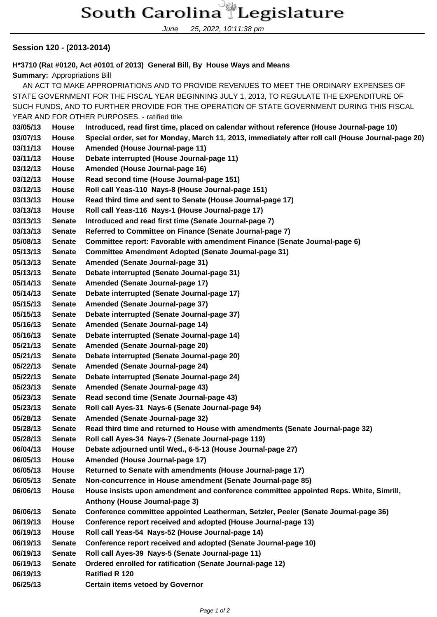## South Carolina Legislature

June 25, 2022, 10:11:38 pm

## **Session 120 - (2013-2014)**

**H\*3710 (Rat #0120, Act #0101 of 2013) General Bill, By House Ways and Means**

**Summary:** Appropriations Bill

 AN ACT TO MAKE APPROPRIATIONS AND TO PROVIDE REVENUES TO MEET THE ORDINARY EXPENSES OF STATE GOVERNMENT FOR THE FISCAL YEAR BEGINNING JULY 1, 2013, TO REGULATE THE EXPENDITURE OF SUCH FUNDS, AND TO FURTHER PROVIDE FOR THE OPERATION OF STATE GOVERNMENT DURING THIS FISCAL YEAR AND FOR OTHER PURPOSES. - ratified title **03/05/13 House Introduced, read first time, placed on calendar without reference (House Journal-page 10) 03/07/13 House Special order, set for Monday, March 11, 2013, immediately after roll call (House Journal-page 20) 03/11/13 House Amended (House Journal-page 11) 03/11/13 House Debate interrupted (House Journal-page 11) 03/12/13 House Amended (House Journal-page 16) 03/12/13 House Read second time (House Journal-page 151) 03/12/13 House Roll call Yeas-110 Nays-8 (House Journal-page 151) 03/13/13 House Read third time and sent to Senate (House Journal-page 17) 03/13/13 House Roll call Yeas-116 Nays-1 (House Journal-page 17) 03/13/13 Senate Introduced and read first time (Senate Journal-page 7) 03/13/13 Senate Referred to Committee on Finance (Senate Journal-page 7) 05/08/13 Senate Committee report: Favorable with amendment Finance (Senate Journal-page 6) 05/13/13 Senate Committee Amendment Adopted (Senate Journal-page 31) 05/13/13 Senate Amended (Senate Journal-page 31) 05/13/13 Senate Debate interrupted (Senate Journal-page 31) 05/14/13 Senate Amended (Senate Journal-page 17) 05/14/13 Senate Debate interrupted (Senate Journal-page 17) 05/15/13 Senate Amended (Senate Journal-page 37) 05/15/13 Senate Debate interrupted (Senate Journal-page 37) 05/16/13 Senate Amended (Senate Journal-page 14) 05/16/13 Senate Debate interrupted (Senate Journal-page 14) 05/21/13 Senate Amended (Senate Journal-page 20) 05/21/13 Senate Debate interrupted (Senate Journal-page 20) 05/22/13 Senate Amended (Senate Journal-page 24) 05/22/13 Senate Debate interrupted (Senate Journal-page 24) 05/23/13 Senate Amended (Senate Journal-page 43) 05/23/13 Senate Read second time (Senate Journal-page 43) 05/23/13 Senate Roll call Ayes-31 Nays-6 (Senate Journal-page 94) 05/28/13 Senate Amended (Senate Journal-page 32) 05/28/13 Senate Read third time and returned to House with amendments (Senate Journal-page 32) 05/28/13 Senate Roll call Ayes-34 Nays-7 (Senate Journal-page 119) 06/04/13 House Debate adjourned until Wed., 6-5-13 (House Journal-page 27) 06/05/13 House Amended (House Journal-page 17) 06/05/13 House Returned to Senate with amendments (House Journal-page 17) 06/05/13 Senate Non-concurrence in House amendment (Senate Journal-page 85) 06/06/13 House House insists upon amendment and conference committee appointed Reps. White, Simrill, Anthony (House Journal-page 3) 06/06/13 Senate Conference committee appointed Leatherman, Setzler, Peeler (Senate Journal-page 36) 06/19/13 House Conference report received and adopted (House Journal-page 13) 06/19/13 House Roll call Yeas-54 Nays-52 (House Journal-page 14) 06/19/13 Senate Conference report received and adopted (Senate Journal-page 10) 06/19/13 Senate Roll call Ayes-39 Nays-5 (Senate Journal-page 11) 06/19/13 Senate Ordered enrolled for ratification (Senate Journal-page 12) 06/19/13 Ratified R 120 06/25/13 Certain items vetoed by Governor**